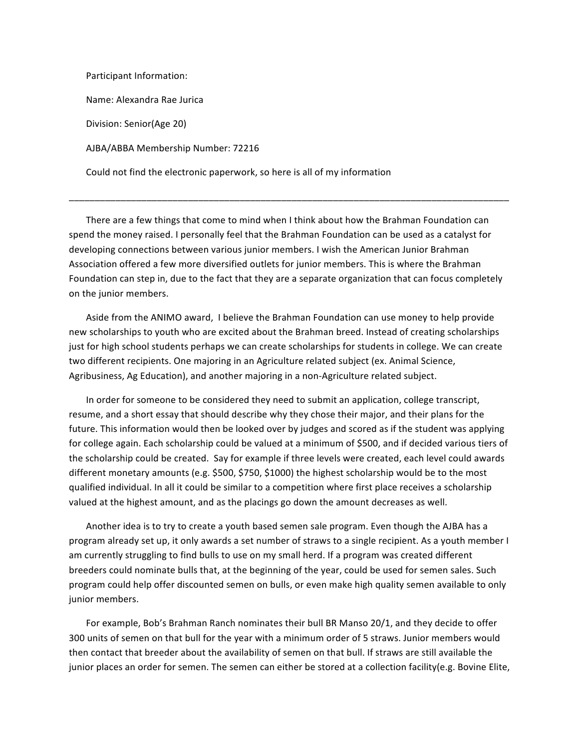Participant Information: Name: Alexandra Rae Jurica Division: Senior(Age 20) AJBA/ABBA Membership Number: 72216 Could not find the electronic paperwork, so here is all of my information

There are a few things that come to mind when I think about how the Brahman Foundation can spend the money raised. I personally feel that the Brahman Foundation can be used as a catalyst for developing connections between various junior members. I wish the American Junior Brahman Association offered a few more diversified outlets for junior members. This is where the Brahman Foundation can step in, due to the fact that they are a separate organization that can focus completely on the junior members.

\_\_\_\_\_\_\_\_\_\_\_\_\_\_\_\_\_\_\_\_\_\_\_\_\_\_\_\_\_\_\_\_\_\_\_\_\_\_\_\_\_\_\_\_\_\_\_\_\_\_\_\_\_\_\_\_\_\_\_\_\_\_\_\_\_\_\_\_\_\_\_\_\_\_\_\_\_\_\_\_\_\_\_\_\_

Aside from the ANIMO award, I believe the Brahman Foundation can use money to help provide new scholarships to youth who are excited about the Brahman breed. Instead of creating scholarships just for high school students perhaps we can create scholarships for students in college. We can create two different recipients. One majoring in an Agriculture related subject (ex. Animal Science, Agribusiness, Ag Education), and another majoring in a non-Agriculture related subject.

In order for someone to be considered they need to submit an application, college transcript, resume, and a short essay that should describe why they chose their major, and their plans for the future. This information would then be looked over by judges and scored as if the student was applying for college again. Each scholarship could be valued at a minimum of \$500, and if decided various tiers of the scholarship could be created. Say for example if three levels were created, each level could awards different monetary amounts (e.g. \$500, \$750, \$1000) the highest scholarship would be to the most qualified individual. In all it could be similar to a competition where first place receives a scholarship valued at the highest amount, and as the placings go down the amount decreases as well.

Another idea is to try to create a youth based semen sale program. Even though the AJBA has a program already set up, it only awards a set number of straws to a single recipient. As a youth member I am currently struggling to find bulls to use on my small herd. If a program was created different breeders could nominate bulls that, at the beginning of the year, could be used for semen sales. Such program could help offer discounted semen on bulls, or even make high quality semen available to only junior members.

For example, Bob's Brahman Ranch nominates their bull BR Manso 20/1, and they decide to offer 300 units of semen on that bull for the year with a minimum order of 5 straws. Junior members would then contact that breeder about the availability of semen on that bull. If straws are still available the junior places an order for semen. The semen can either be stored at a collection facility(e.g. Bovine Elite,